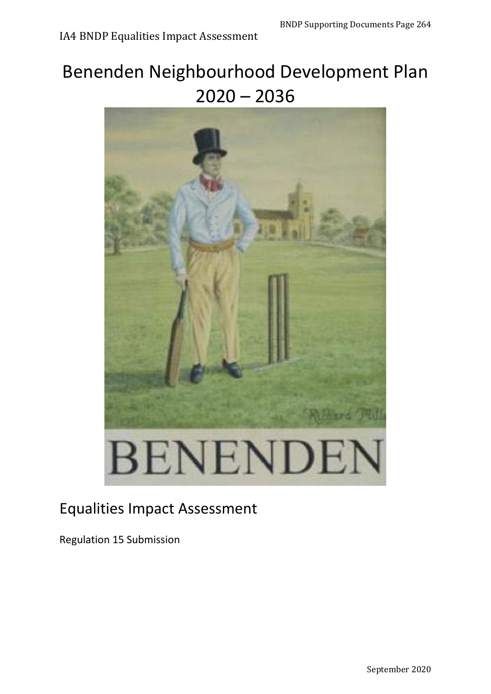# Benenden Neighbourhood Development Plan  $2020 - 2036$



## Equalities Impact Assessment

Regulation 15 Submission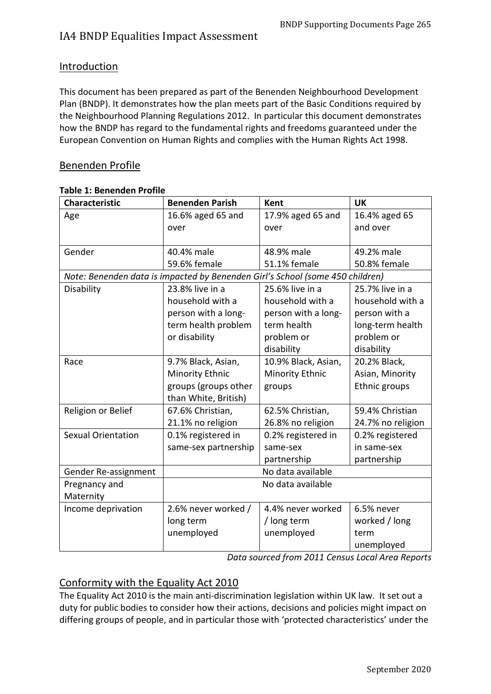### Introduction

This document has been prepared as part of the Benenden Neighbourhood Development Plan (BNDP). It demonstrates how the plan meets part of the Basic Conditions required by the Neighbourhood Planning Regulations 2012. In particular this document demonstrates how the BNDP has regard to the fundamental rights and freedoms guaranteed under the European Convention on Human Rights and complies with the Human Rights Act 1998.

### Benenden Profile

| <b>Characteristic</b>                                                         | <b>Benenden Parish</b> | <b>Kent</b>            | <b>UK</b>         |
|-------------------------------------------------------------------------------|------------------------|------------------------|-------------------|
| Age                                                                           | 16.6% aged 65 and      | 17.9% aged 65 and      | 16.4% aged 65     |
|                                                                               | over                   | over                   | and over          |
|                                                                               |                        |                        |                   |
| Gender                                                                        | 40.4% male             | 48.9% male             | 49.2% male        |
|                                                                               | 59.6% female           | 51.1% female           | 50.8% female      |
| Note: Benenden data is impacted by Benenden Girl's School (some 450 children) |                        |                        |                   |
| Disability                                                                    | 23.8% live in a        | 25.6% live in a        | 25.7% live in a   |
|                                                                               | household with a       | household with a       | household with a  |
|                                                                               | person with a long-    | person with a long-    | person with a     |
|                                                                               | term health problem    | term health            | long-term health  |
|                                                                               | or disability          | problem or             | problem or        |
|                                                                               |                        | disability             | disability        |
| Race                                                                          | 9.7% Black, Asian,     | 10.9% Black, Asian,    | 20.2% Black,      |
|                                                                               | <b>Minority Ethnic</b> | <b>Minority Ethnic</b> | Asian, Minority   |
|                                                                               | groups (groups other   | groups                 | Ethnic groups     |
|                                                                               | than White, British)   |                        |                   |
| Religion or Belief                                                            | 67.6% Christian,       | 62.5% Christian,       | 59.4% Christian   |
|                                                                               | 21.1% no religion      | 26.8% no religion      | 24.7% no religion |
| <b>Sexual Orientation</b>                                                     | 0.1% registered in     | 0.2% registered in     | 0.2% registered   |
|                                                                               | same-sex partnership   | same-sex               | in same-sex       |
|                                                                               |                        | partnership            | partnership       |
| Gender Re-assignment                                                          |                        | No data available      |                   |
| Pregnancy and                                                                 |                        | No data available      |                   |
| Maternity                                                                     |                        |                        |                   |
| Income deprivation                                                            | 2.6% never worked /    | 4.4% never worked      | 6.5% never        |
|                                                                               | long term              | / long term            | worked / long     |
|                                                                               | unemployed             | unemployed             | term              |
|                                                                               |                        |                        | unemployed        |

#### **Table 1: Benenden Profile**

*Data sourced from 2011 Census Local Area Reports*

### Conformity with the Equality Act 2010

The Equality Act 2010 is the main anti-discrimination legislation within UK law. It set out a duty for public bodies to consider how their actions, decisions and policies might impact on differing groups of people, and in particular those with 'protected characteristics' under the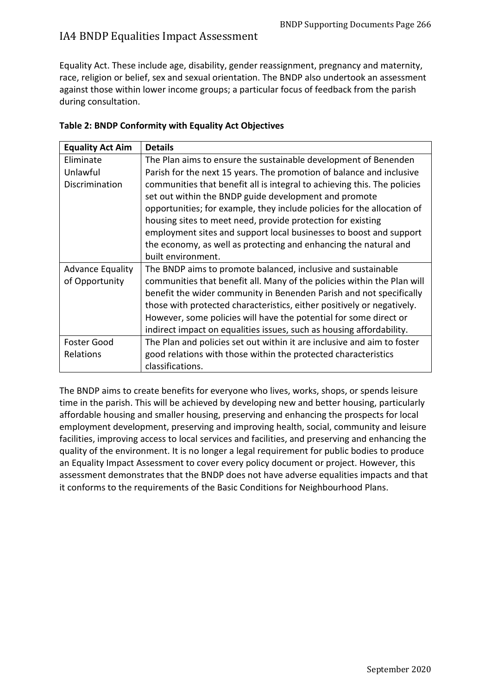Equality Act. These include age, disability, gender reassignment, pregnancy and maternity, race, religion or belief, sex and sexual orientation. The BNDP also undertook an assessment against those within lower income groups; a particular focus of feedback from the parish during consultation.

| <b>Equality Act Aim</b> | <b>Details</b>                                                           |
|-------------------------|--------------------------------------------------------------------------|
| Eliminate               | The Plan aims to ensure the sustainable development of Benenden          |
| Unlawful                | Parish for the next 15 years. The promotion of balance and inclusive     |
| Discrimination          | communities that benefit all is integral to achieving this. The policies |
|                         | set out within the BNDP guide development and promote                    |
|                         | opportunities; for example, they include policies for the allocation of  |
|                         | housing sites to meet need, provide protection for existing              |
|                         | employment sites and support local businesses to boost and support       |
|                         | the economy, as well as protecting and enhancing the natural and         |
|                         | built environment.                                                       |
| <b>Advance Equality</b> | The BNDP aims to promote balanced, inclusive and sustainable             |
| of Opportunity          | communities that benefit all. Many of the policies within the Plan will  |
|                         | benefit the wider community in Benenden Parish and not specifically      |
|                         | those with protected characteristics, either positively or negatively.   |
|                         | However, some policies will have the potential for some direct or        |
|                         | indirect impact on equalities issues, such as housing affordability.     |
| <b>Foster Good</b>      | The Plan and policies set out within it are inclusive and aim to foster  |
| Relations               | good relations with those within the protected characteristics           |
|                         | classifications.                                                         |

#### **Table 2: BNDP Conformity with Equality Act Objectives**

The BNDP aims to create benefits for everyone who lives, works, shops, or spends leisure time in the parish. This will be achieved by developing new and better housing, particularly affordable housing and smaller housing, preserving and enhancing the prospects for local employment development, preserving and improving health, social, community and leisure facilities, improving access to local services and facilities, and preserving and enhancing the quality of the environment. It is no longer a legal requirement for public bodies to produce an Equality Impact Assessment to cover every policy document or project. However, this assessment demonstrates that the BNDP does not have adverse equalities impacts and that it conforms to the requirements of the Basic Conditions for Neighbourhood Plans.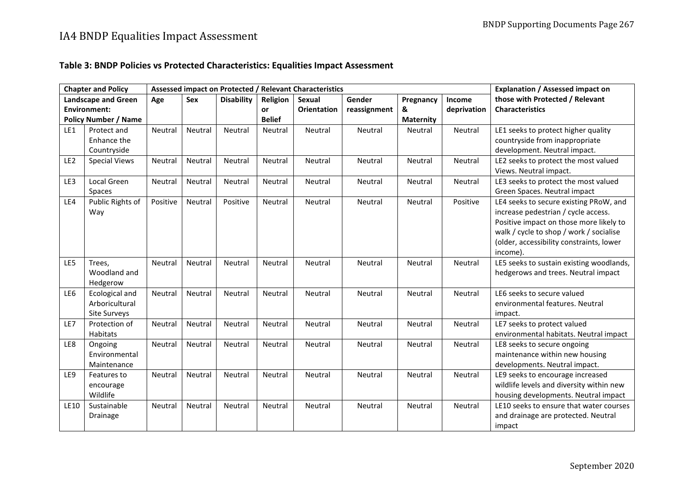### **Table 3: BNDP Policies vs Protected Characteristics: Equalities Impact Assessment**

|                 | <b>Chapter and Policy</b>   |          |            | Assessed impact on Protected / Relevant Characteristics | <b>Explanation / Assessed impact on</b> |                    |              |                  |             |                                          |
|-----------------|-----------------------------|----------|------------|---------------------------------------------------------|-----------------------------------------|--------------------|--------------|------------------|-------------|------------------------------------------|
|                 | <b>Landscape and Green</b>  | Age      | <b>Sex</b> | <b>Disability</b>                                       | Religion                                | Sexual             | Gender       | Pregnancy        | Income      | those with Protected / Relevant          |
|                 | <b>Environment:</b>         |          |            |                                                         | or                                      | <b>Orientation</b> | reassignment | &                | deprivation | <b>Characteristics</b>                   |
|                 | <b>Policy Number / Name</b> |          |            |                                                         | <b>Belief</b>                           |                    |              | <b>Maternity</b> |             |                                          |
| LE1             | Protect and                 | Neutral  | Neutral    | Neutral                                                 | Neutral                                 | Neutral            | Neutral      | Neutral          | Neutral     | LE1 seeks to protect higher quality      |
|                 | Enhance the                 |          |            |                                                         |                                         |                    |              |                  |             | countryside from inappropriate           |
|                 | Countryside                 |          |            |                                                         |                                         |                    |              |                  |             | development. Neutral impact.             |
| LE <sub>2</sub> | <b>Special Views</b>        | Neutral  | Neutral    | Neutral                                                 | Neutral                                 | Neutral            | Neutral      | Neutral          | Neutral     | LE2 seeks to protect the most valued     |
|                 |                             |          |            |                                                         |                                         |                    |              |                  |             | Views. Neutral impact.                   |
| LE3             | Local Green                 | Neutral  | Neutral    | Neutral                                                 | Neutral                                 | Neutral            | Neutral      | Neutral          | Neutral     | LE3 seeks to protect the most valued     |
|                 | Spaces                      |          |            |                                                         |                                         |                    |              |                  |             | Green Spaces. Neutral impact             |
| LE4             | Public Rights of            | Positive | Neutral    | Positive                                                | Neutral                                 | Neutral            | Neutral      | Neutral          | Positive    | LE4 seeks to secure existing PRoW, and   |
|                 | Way                         |          |            |                                                         |                                         |                    |              |                  |             | increase pedestrian / cycle access.      |
|                 |                             |          |            |                                                         |                                         |                    |              |                  |             | Positive impact on those more likely to  |
|                 |                             |          |            |                                                         |                                         |                    |              |                  |             | walk / cycle to shop / work / socialise  |
|                 |                             |          |            |                                                         |                                         |                    |              |                  |             | (older, accessibility constraints, lower |
|                 |                             |          |            |                                                         |                                         |                    |              |                  |             | income).                                 |
| LE5             | Trees,                      | Neutral  | Neutral    | Neutral                                                 | Neutral                                 | Neutral            | Neutral      | Neutral          | Neutral     | LE5 seeks to sustain existing woodlands, |
|                 | Woodland and                |          |            |                                                         |                                         |                    |              |                  |             | hedgerows and trees. Neutral impact      |
|                 | Hedgerow                    |          |            |                                                         |                                         |                    |              |                  |             |                                          |
| LE6             | Ecological and              | Neutral  | Neutral    | Neutral                                                 | Neutral                                 | Neutral            | Neutral      | Neutral          | Neutral     | LE6 seeks to secure valued               |
|                 | Arboricultural              |          |            |                                                         |                                         |                    |              |                  |             | environmental features. Neutral          |
|                 | Site Surveys                |          |            |                                                         |                                         |                    |              |                  |             | impact.                                  |
| LE7             | Protection of               | Neutral  | Neutral    | Neutral                                                 | Neutral                                 | Neutral            | Neutral      | Neutral          | Neutral     | LE7 seeks to protect valued              |
|                 | Habitats                    |          |            |                                                         |                                         |                    |              |                  |             | environmental habitats. Neutral impact   |
| LE8             | Ongoing                     | Neutral  | Neutral    | Neutral                                                 | Neutral                                 | Neutral            | Neutral      | Neutral          | Neutral     | LE8 seeks to secure ongoing              |
|                 | Environmental               |          |            |                                                         |                                         |                    |              |                  |             | maintenance within new housing           |
|                 | Maintenance                 |          |            |                                                         |                                         |                    |              |                  |             | developments. Neutral impact.            |
| LE9             | Features to                 | Neutral  | Neutral    | Neutral                                                 | Neutral                                 | Neutral            | Neutral      | Neutral          | Neutral     | LE9 seeks to encourage increased         |
|                 | encourage                   |          |            |                                                         |                                         |                    |              |                  |             | wildlife levels and diversity within new |
|                 | Wildlife                    |          |            |                                                         |                                         |                    |              |                  |             | housing developments. Neutral impact     |
| <b>LE10</b>     | Sustainable                 | Neutral  | Neutral    | Neutral                                                 | Neutral                                 | Neutral            | Neutral      | Neutral          | Neutral     | LE10 seeks to ensure that water courses  |
|                 | Drainage                    |          |            |                                                         |                                         |                    |              |                  |             | and drainage are protected. Neutral      |
|                 |                             |          |            |                                                         |                                         |                    |              |                  |             | impact                                   |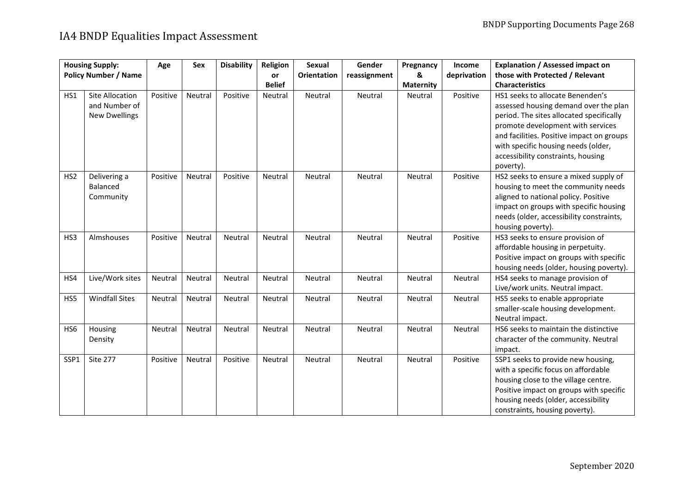|                 | <b>Housing Supply:</b>      | Age      | Sex     | <b>Disability</b> | <b>Religion</b> | Sexual             | Gender       | Pregnancy        | Income      | Explanation / Assessed impact on          |
|-----------------|-----------------------------|----------|---------|-------------------|-----------------|--------------------|--------------|------------------|-------------|-------------------------------------------|
|                 | <b>Policy Number / Name</b> |          |         |                   | or              | <b>Orientation</b> | reassignment | &                | deprivation | those with Protected / Relevant           |
|                 |                             |          |         |                   | <b>Belief</b>   |                    |              | <b>Maternity</b> |             | <b>Characteristics</b>                    |
| HS1             | Site Allocation             | Positive | Neutral | Positive          | Neutral         | Neutral            | Neutral      | Neutral          | Positive    | HS1 seeks to allocate Benenden's          |
|                 | and Number of               |          |         |                   |                 |                    |              |                  |             | assessed housing demand over the plan     |
|                 | <b>New Dwellings</b>        |          |         |                   |                 |                    |              |                  |             | period. The sites allocated specifically  |
|                 |                             |          |         |                   |                 |                    |              |                  |             | promote development with services         |
|                 |                             |          |         |                   |                 |                    |              |                  |             | and facilities. Positive impact on groups |
|                 |                             |          |         |                   |                 |                    |              |                  |             | with specific housing needs (older,       |
|                 |                             |          |         |                   |                 |                    |              |                  |             | accessibility constraints, housing        |
|                 |                             |          |         |                   |                 |                    |              |                  |             | poverty).                                 |
| HS <sub>2</sub> | Delivering a                | Positive | Neutral | Positive          | Neutral         | Neutral            | Neutral      | Neutral          | Positive    | HS2 seeks to ensure a mixed supply of     |
|                 | Balanced                    |          |         |                   |                 |                    |              |                  |             | housing to meet the community needs       |
|                 | Community                   |          |         |                   |                 |                    |              |                  |             | aligned to national policy. Positive      |
|                 |                             |          |         |                   |                 |                    |              |                  |             | impact on groups with specific housing    |
|                 |                             |          |         |                   |                 |                    |              |                  |             | needs (older, accessibility constraints,  |
|                 |                             |          |         |                   |                 |                    |              |                  |             | housing poverty).                         |
| HS3             | Almshouses                  | Positive | Neutral | Neutral           | Neutral         | Neutral            | Neutral      | Neutral          | Positive    | HS3 seeks to ensure provision of          |
|                 |                             |          |         |                   |                 |                    |              |                  |             | affordable housing in perpetuity.         |
|                 |                             |          |         |                   |                 |                    |              |                  |             | Positive impact on groups with specific   |
|                 |                             |          |         |                   |                 |                    |              |                  |             | housing needs (older, housing poverty).   |
| HS4             | Live/Work sites             | Neutral  | Neutral | Neutral           | Neutral         | Neutral            | Neutral      | Neutral          | Neutral     | HS4 seeks to manage provision of          |
|                 |                             |          |         |                   |                 |                    |              |                  |             | Live/work units. Neutral impact.          |
| HS5             | <b>Windfall Sites</b>       | Neutral  | Neutral | Neutral           | Neutral         | Neutral            | Neutral      | Neutral          | Neutral     | HS5 seeks to enable appropriate           |
|                 |                             |          |         |                   |                 |                    |              |                  |             | smaller-scale housing development.        |
|                 |                             |          |         |                   |                 |                    |              |                  |             | Neutral impact.                           |
| HS6             | Housing                     | Neutral  | Neutral | Neutral           | Neutral         | Neutral            | Neutral      | Neutral          | Neutral     | HS6 seeks to maintain the distinctive     |
|                 | Density                     |          |         |                   |                 |                    |              |                  |             | character of the community. Neutral       |
|                 |                             |          |         |                   |                 |                    |              |                  |             | impact.                                   |
| SSP1            | <b>Site 277</b>             | Positive | Neutral | Positive          | Neutral         | Neutral            | Neutral      | Neutral          | Positive    | SSP1 seeks to provide new housing,        |
|                 |                             |          |         |                   |                 |                    |              |                  |             | with a specific focus on affordable       |
|                 |                             |          |         |                   |                 |                    |              |                  |             | housing close to the village centre.      |
|                 |                             |          |         |                   |                 |                    |              |                  |             | Positive impact on groups with specific   |
|                 |                             |          |         |                   |                 |                    |              |                  |             | housing needs (older, accessibility       |
|                 |                             |          |         |                   |                 |                    |              |                  |             | constraints, housing poverty).            |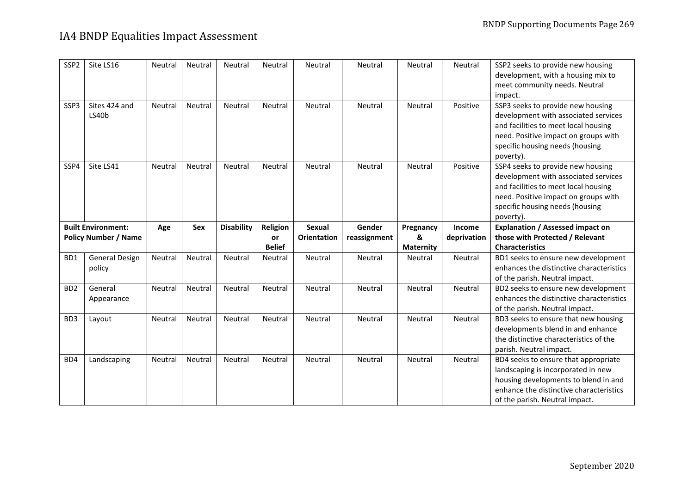| SSP <sub>2</sub> | Site LS16                   | Neutral | <b>Neutral</b> | Neutral           | Neutral       | Neutral            | Neutral      | <b>Neutral</b>   | Neutral     | SSP2 seeks to provide new housing<br>development, with a housing mix to<br>meet community needs. Neutral<br>impact.                                                                                       |
|------------------|-----------------------------|---------|----------------|-------------------|---------------|--------------------|--------------|------------------|-------------|-----------------------------------------------------------------------------------------------------------------------------------------------------------------------------------------------------------|
| SSP3             | Sites 424 and<br>LS40b      | Neutral | Neutral        | Neutral           | Neutral       | Neutral            | Neutral      | Neutral          | Positive    | SSP3 seeks to provide new housing<br>development with associated services<br>and facilities to meet local housing<br>need. Positive impact on groups with<br>specific housing needs (housing<br>poverty). |
| SSP4             | Site LS41                   | Neutral | Neutral        | Neutral           | Neutral       | Neutral            | Neutral      | Neutral          | Positive    | SSP4 seeks to provide new housing<br>development with associated services<br>and facilities to meet local housing<br>need. Positive impact on groups with<br>specific housing needs (housing<br>poverty). |
|                  | <b>Built Environment:</b>   | Age     | Sex            | <b>Disability</b> | Religion      | <b>Sexual</b>      | Gender       | Pregnancy        | Income      | <b>Explanation / Assessed impact on</b>                                                                                                                                                                   |
|                  |                             |         |                |                   |               |                    |              |                  |             |                                                                                                                                                                                                           |
|                  | <b>Policy Number / Name</b> |         |                |                   | or            | <b>Orientation</b> | reassignment | &                | deprivation | those with Protected / Relevant                                                                                                                                                                           |
|                  |                             |         |                |                   | <b>Belief</b> |                    |              | <b>Maternity</b> |             | <b>Characteristics</b>                                                                                                                                                                                    |
| BD1              | General Design<br>policy    | Neutral | Neutral        | Neutral           | Neutral       | Neutral            | Neutral      | Neutral          | Neutral     | BD1 seeks to ensure new development<br>enhances the distinctive characteristics<br>of the parish. Neutral impact.                                                                                         |
| BD <sub>2</sub>  | General<br>Appearance       | Neutral | Neutral        | Neutral           | Neutral       | Neutral            | Neutral      | Neutral          | Neutral     | BD2 seeks to ensure new development<br>enhances the distinctive characteristics<br>of the parish. Neutral impact.                                                                                         |
| B <sub>D</sub> 3 | Layout                      | Neutral | <b>Neutral</b> | Neutral           | Neutral       | Neutral            | Neutral      | <b>Neutral</b>   | Neutral     | BD3 seeks to ensure that new housing<br>developments blend in and enhance<br>the distinctive characteristics of the<br>parish. Neutral impact.                                                            |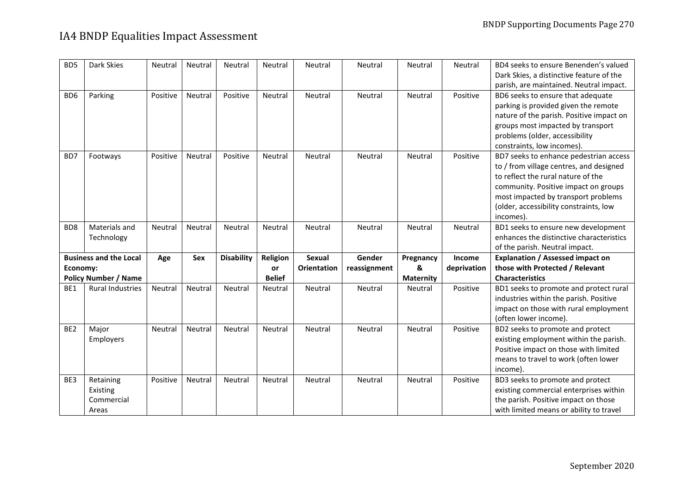| B <sub>D5</sub> | Dark Skies                    | <b>Neutral</b> | <b>Neutral</b> | Neutral           | Neutral       | Neutral            | Neutral      | Neutral          | Neutral     | BD4 seeks to ensure Benenden's valued    |
|-----------------|-------------------------------|----------------|----------------|-------------------|---------------|--------------------|--------------|------------------|-------------|------------------------------------------|
|                 |                               |                |                |                   |               |                    |              |                  |             | Dark Skies, a distinctive feature of the |
|                 |                               |                |                |                   |               |                    |              |                  |             | parish, are maintained. Neutral impact.  |
| BD <sub>6</sub> | Parking                       | Positive       | Neutral        | Positive          | Neutral       | Neutral            | Neutral      | Neutral          | Positive    | BD6 seeks to ensure that adequate        |
|                 |                               |                |                |                   |               |                    |              |                  |             | parking is provided given the remote     |
|                 |                               |                |                |                   |               |                    |              |                  |             | nature of the parish. Positive impact on |
|                 |                               |                |                |                   |               |                    |              |                  |             | groups most impacted by transport        |
|                 |                               |                |                |                   |               |                    |              |                  |             | problems (older, accessibility           |
|                 |                               |                |                |                   |               |                    |              |                  |             | constraints, low incomes).               |
| BD7             | Footways                      | Positive       | Neutral        | Positive          | Neutral       | Neutral            | Neutral      | Neutral          | Positive    | BD7 seeks to enhance pedestrian access   |
|                 |                               |                |                |                   |               |                    |              |                  |             | to / from village centres, and designed  |
|                 |                               |                |                |                   |               |                    |              |                  |             | to reflect the rural nature of the       |
|                 |                               |                |                |                   |               |                    |              |                  |             | community. Positive impact on groups     |
|                 |                               |                |                |                   |               |                    |              |                  |             | most impacted by transport problems      |
|                 |                               |                |                |                   |               |                    |              |                  |             | (older, accessibility constraints, low   |
|                 |                               |                |                |                   |               |                    |              |                  |             | incomes).                                |
| BD <sub>8</sub> | Materials and                 | Neutral        | Neutral        | Neutral           | Neutral       | Neutral            | Neutral      | Neutral          | Neutral     | BD1 seeks to ensure new development      |
|                 | Technology                    |                |                |                   |               |                    |              |                  |             | enhances the distinctive characteristics |
|                 |                               |                |                |                   |               |                    |              |                  |             |                                          |
|                 |                               |                |                |                   |               |                    |              |                  |             | of the parish. Neutral impact.           |
|                 | <b>Business and the Local</b> | Age            | Sex            | <b>Disability</b> | Religion      | <b>Sexual</b>      | Gender       | Pregnancy        | Income      | <b>Explanation / Assessed impact on</b>  |
| Economy:        |                               |                |                |                   | or            | <b>Orientation</b> | reassignment | &                | deprivation | those with Protected / Relevant          |
|                 | <b>Policy Number / Name</b>   |                |                |                   | <b>Belief</b> |                    |              | <b>Maternity</b> |             | <b>Characteristics</b>                   |
| BE1             | <b>Rural Industries</b>       | Neutral        | Neutral        | Neutral           | Neutral       | Neutral            | Neutral      | Neutral          | Positive    | BD1 seeks to promote and protect rural   |
|                 |                               |                |                |                   |               |                    |              |                  |             | industries within the parish. Positive   |
|                 |                               |                |                |                   |               |                    |              |                  |             | impact on those with rural employment    |
|                 |                               |                |                |                   |               |                    |              |                  |             | (often lower income).                    |
| BE <sub>2</sub> | Major                         | Neutral        | Neutral        | Neutral           | Neutral       | Neutral            | Neutral      | Neutral          | Positive    | BD2 seeks to promote and protect         |
|                 | Employers                     |                |                |                   |               |                    |              |                  |             | existing employment within the parish.   |
|                 |                               |                |                |                   |               |                    |              |                  |             | Positive impact on those with limited    |
|                 |                               |                |                |                   |               |                    |              |                  |             | means to travel to work (often lower     |
|                 |                               |                |                |                   |               |                    |              |                  |             | income).                                 |
| BE3             | Retaining                     | Positive       | <b>Neutral</b> | Neutral           | Neutral       | Neutral            | Neutral      | Neutral          | Positive    | BD3 seeks to promote and protect         |
|                 | Existing                      |                |                |                   |               |                    |              |                  |             | existing commercial enterprises within   |
|                 | Commercial                    |                |                |                   |               |                    |              |                  |             | the parish. Positive impact on those     |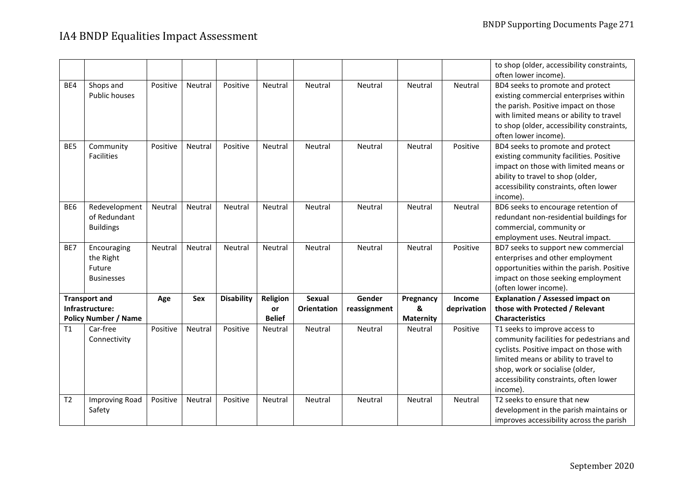|                |                             |          |         |                   |               |                    |              |                  |             | to shop (older, accessibility constraints, |
|----------------|-----------------------------|----------|---------|-------------------|---------------|--------------------|--------------|------------------|-------------|--------------------------------------------|
|                |                             |          |         |                   |               |                    |              |                  |             | often lower income).                       |
| BE4            | Shops and                   | Positive | Neutral | Positive          | Neutral       | Neutral            | Neutral      | Neutral          | Neutral     | BD4 seeks to promote and protect           |
|                | Public houses               |          |         |                   |               |                    |              |                  |             | existing commercial enterprises within     |
|                |                             |          |         |                   |               |                    |              |                  |             | the parish. Positive impact on those       |
|                |                             |          |         |                   |               |                    |              |                  |             | with limited means or ability to travel    |
|                |                             |          |         |                   |               |                    |              |                  |             | to shop (older, accessibility constraints, |
|                |                             |          |         |                   |               |                    |              |                  |             | often lower income).                       |
| BE5            | Community                   | Positive | Neutral | Positive          | Neutral       | Neutral            | Neutral      | Neutral          | Positive    | BD4 seeks to promote and protect           |
|                | <b>Facilities</b>           |          |         |                   |               |                    |              |                  |             | existing community facilities. Positive    |
|                |                             |          |         |                   |               |                    |              |                  |             | impact on those with limited means or      |
|                |                             |          |         |                   |               |                    |              |                  |             | ability to travel to shop (older,          |
|                |                             |          |         |                   |               |                    |              |                  |             | accessibility constraints, often lower     |
|                |                             |          |         |                   |               |                    |              |                  |             | income).                                   |
| BE6            | Redevelopment               | Neutral  | Neutral | Neutral           | Neutral       | Neutral            | Neutral      | Neutral          | Neutral     | BD6 seeks to encourage retention of        |
|                | of Redundant                |          |         |                   |               |                    |              |                  |             | redundant non-residential buildings for    |
|                | <b>Buildings</b>            |          |         |                   |               |                    |              |                  |             | commercial, community or                   |
|                |                             |          |         |                   |               |                    |              |                  |             | employment uses. Neutral impact.           |
| BE7            | Encouraging                 | Neutral  | Neutral | Neutral           | Neutral       | Neutral            | Neutral      | Neutral          | Positive    | BD7 seeks to support new commercial        |
|                | the Right                   |          |         |                   |               |                    |              |                  |             | enterprises and other employment           |
|                | Future                      |          |         |                   |               |                    |              |                  |             | opportunities within the parish. Positive  |
|                | <b>Businesses</b>           |          |         |                   |               |                    |              |                  |             | impact on those seeking employment         |
|                |                             |          |         |                   |               |                    |              |                  |             | (often lower income).                      |
|                | <b>Transport and</b>        | Age      | Sex     | <b>Disability</b> | Religion      | Sexual             | Gender       | Pregnancy        | Income      | <b>Explanation / Assessed impact on</b>    |
|                | Infrastructure:             |          |         |                   | or            | <b>Orientation</b> | reassignment | &                | deprivation | those with Protected / Relevant            |
|                | <b>Policy Number / Name</b> |          |         |                   | <b>Belief</b> |                    |              | <b>Maternity</b> |             | <b>Characteristics</b>                     |
| T1             | Car-free                    | Positive | Neutral | Positive          | Neutral       | Neutral            | Neutral      | Neutral          | Positive    | T1 seeks to improve access to              |
|                | Connectivity                |          |         |                   |               |                    |              |                  |             | community facilities for pedestrians and   |
|                |                             |          |         |                   |               |                    |              |                  |             | cyclists. Positive impact on those with    |
|                |                             |          |         |                   |               |                    |              |                  |             | limited means or ability to travel to      |
|                |                             |          |         |                   |               |                    |              |                  |             | shop, work or socialise (older,            |
|                |                             |          |         |                   |               |                    |              |                  |             | accessibility constraints, often lower     |
|                |                             |          |         |                   |               |                    |              |                  |             | income).                                   |
| T <sub>2</sub> | <b>Improving Road</b>       | Positive | Neutral | Positive          | Neutral       | Neutral            | Neutral      | Neutral          | Neutral     | T2 seeks to ensure that new                |
|                | Safety                      |          |         |                   |               |                    |              |                  |             | development in the parish maintains or     |
|                |                             |          |         |                   |               |                    |              |                  |             | improves accessibility across the parish   |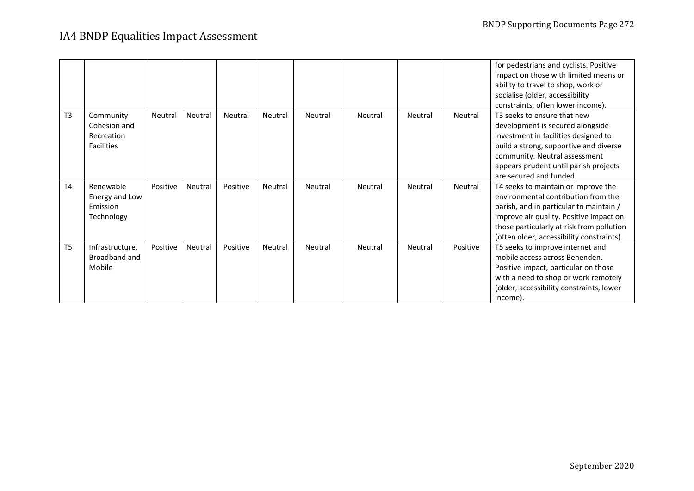|                |                                                              |          |         |          |         |         |         |         |          | for pedestrians and cyclists. Positive<br>impact on those with limited means or<br>ability to travel to shop, work or<br>socialise (older, accessibility<br>constraints, often lower income).                                                              |
|----------------|--------------------------------------------------------------|----------|---------|----------|---------|---------|---------|---------|----------|------------------------------------------------------------------------------------------------------------------------------------------------------------------------------------------------------------------------------------------------------------|
| T <sub>3</sub> | Community<br>Cohesion and<br>Recreation<br><b>Facilities</b> | Neutral  | Neutral | Neutral  | Neutral | Neutral | Neutral | Neutral | Neutral  | T3 seeks to ensure that new<br>development is secured alongside<br>investment in facilities designed to<br>build a strong, supportive and diverse<br>community. Neutral assessment<br>appears prudent until parish projects<br>are secured and funded.     |
| T <sub>4</sub> | Renewable<br>Energy and Low<br>Emission<br>Technology        | Positive | Neutral | Positive | Neutral | Neutral | Neutral | Neutral | Neutral  | T4 seeks to maintain or improve the<br>environmental contribution from the<br>parish, and in particular to maintain /<br>improve air quality. Positive impact on<br>those particularly at risk from pollution<br>(often older, accessibility constraints). |
| T <sub>5</sub> | Infrastructure,<br>Broadband and<br>Mobile                   | Positive | Neutral | Positive | Neutral | Neutral | Neutral | Neutral | Positive | T5 seeks to improve internet and<br>mobile access across Benenden.<br>Positive impact, particular on those<br>with a need to shop or work remotely<br>(older, accessibility constraints, lower<br>income).                                                 |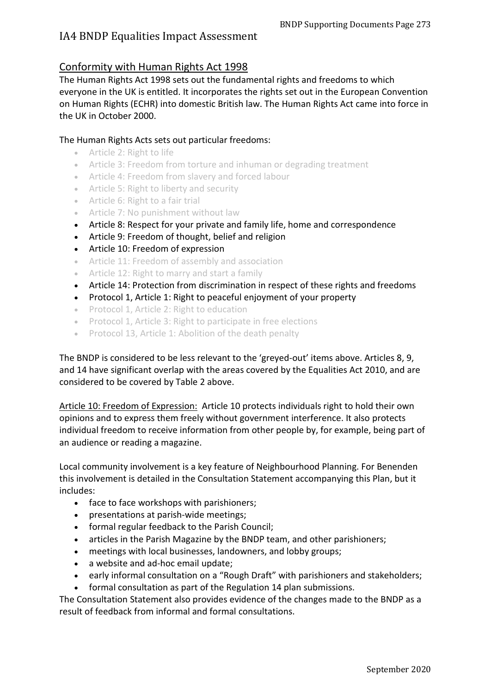### Conformity with Human Rights Act 1998

The Human Rights Act 1998 sets out the fundamental rights and freedoms to which everyone in the UK is entitled. It incorporates the rights set out in the European Convention on Human Rights (ECHR) into domestic British law. The Human Rights Act came into force in the UK in October 2000.

#### The Human Rights Acts sets out particular freedoms:

- Article 2: Right to life
- Article 3: Freedom from torture and inhuman or degrading treatment
- Article 4: Freedom from slavery and forced labour
- Article 5: Right to liberty and security
- Article 6: Right to a fair trial
- Article 7: No punishment without law
- Article 8: Respect for your private and family life, home and correspondence
- Article 9: Freedom of thought, belief and religion
- Article 10: Freedom of expression
- Article 11: Freedom of assembly and association
- Article 12: Right to marry and start a family
- Article 14: Protection from discrimination in respect of these rights and freedoms
- Protocol 1, Article 1: Right to peaceful enjoyment of your property
- Protocol 1, Article 2: Right to education
- Protocol 1, Article 3: Right to participate in free elections
- Protocol 13, Article 1: Abolition of the death penalty

The BNDP is considered to be less relevant to the 'greyed-out' items above. Articles 8, 9, and 14 have significant overlap with the areas covered by the Equalities Act 2010, and are considered to be covered by Table 2 above.

Article 10: Freedom of Expression: Article 10 protects individuals right to hold their own opinions and to express them freely without government interference. It also protects individual freedom to receive information from other people by, for example, being part of an audience or reading a magazine.

Local community involvement is a key feature of Neighbourhood Planning. For Benenden this involvement is detailed in the Consultation Statement accompanying this Plan, but it includes:

- face to face workshops with parishioners;
- presentations at parish-wide meetings;
- formal regular feedback to the Parish Council;
- articles in the Parish Magazine by the BNDP team, and other parishioners;
- meetings with local businesses, landowners, and lobby groups;
- a website and ad-hoc email update;
- early informal consultation on a "Rough Draft" with parishioners and stakeholders;
- formal consultation as part of the Regulation 14 plan submissions.

The Consultation Statement also provides evidence of the changes made to the BNDP as a result of feedback from informal and formal consultations.